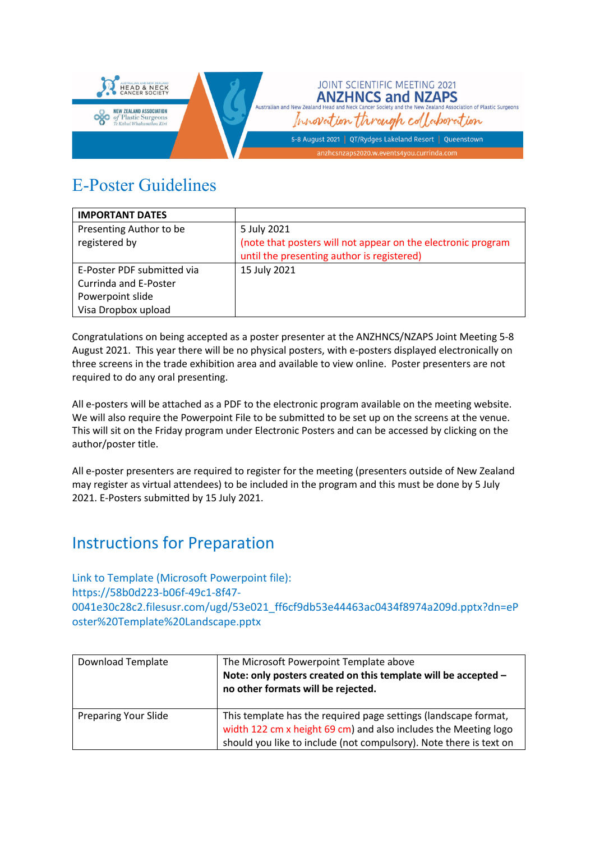

## E-Poster Guidelines

| <b>IMPORTANT DATES</b>     |                                                              |
|----------------------------|--------------------------------------------------------------|
| Presenting Author to be    | 5 July 2021                                                  |
| registered by              | (note that posters will not appear on the electronic program |
|                            | until the presenting author is registered)                   |
| E-Poster PDF submitted via | 15 July 2021                                                 |
| Currinda and E-Poster      |                                                              |
| Powerpoint slide           |                                                              |
| Visa Dropbox upload        |                                                              |

Congratulations on being accepted as a poster presenter at the ANZHNCS/NZAPS Joint Meeting 5-8 August 2021. This year there will be no physical posters, with e-posters displayed electronically on three screens in the trade exhibition area and available to view online. Poster presenters are not required to do any oral presenting.

All e-posters will be attached as a PDF to the electronic program available on the meeting website. We will also require the Powerpoint File to be submitted to be set up on the screens at the venue. This will sit on the Friday program under Electronic Posters and can be accessed by clicking on the author/poster title.

All e-poster presenters are required to register for the meeting (presenters outside of New Zealand may register as virtual attendees) to be included in the program and this must be done by 5 July 2021. E-Posters submitted by 15 July 2021.

## Instructions for Preparation

Link to Template (Microsoft Powerpoint file): https://58b0d223-b06f-49c1-8f47- 0041e30c28c2.filesusr.com/ugd/53e021\_ff6cf9db53e44463ac0434f8974a209d.pptx?dn=eP oster%20Template%20Landscape.pptx

| Download Template           | The Microsoft Powerpoint Template above<br>Note: only posters created on this template will be accepted -<br>no other formats will be rejected.                                                          |
|-----------------------------|----------------------------------------------------------------------------------------------------------------------------------------------------------------------------------------------------------|
| <b>Preparing Your Slide</b> | This template has the required page settings (landscape format,<br>width 122 cm x height 69 cm) and also includes the Meeting logo<br>should you like to include (not compulsory). Note there is text on |